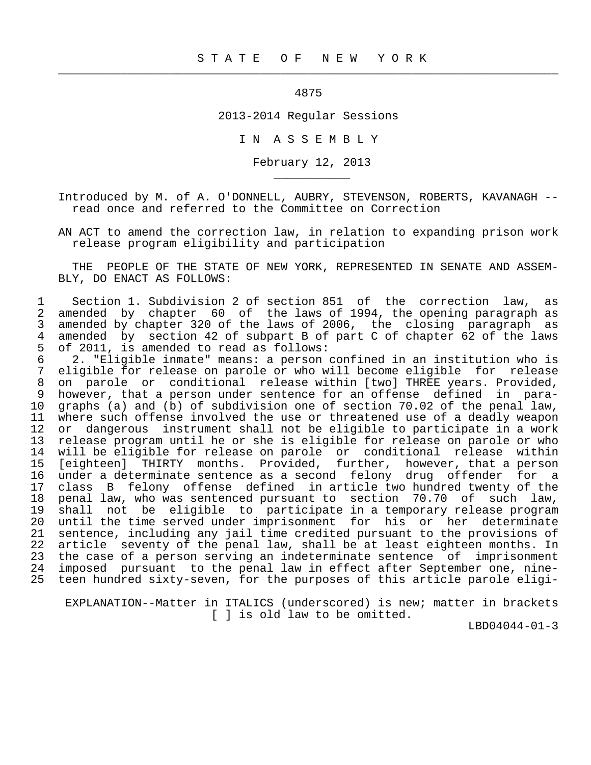4875

 $\frac{1}{2}$  , and the contribution of the contribution of the contribution of the contribution of the contribution of the contribution of the contribution of the contribution of the contribution of the contribution of the c

\_\_\_\_\_\_\_\_\_\_\_

2013-2014 Regular Sessions

I N A S S E M B L Y

February 12, 2013

 Introduced by M. of A. O'DONNELL, AUBRY, STEVENSON, ROBERTS, KAVANAGH - read once and referred to the Committee on Correction

 AN ACT to amend the correction law, in relation to expanding prison work release program eligibility and participation

 THE PEOPLE OF THE STATE OF NEW YORK, REPRESENTED IN SENATE AND ASSEM- BLY, DO ENACT AS FOLLOWS:

1 Section 1. Subdivision 2 of section 851 of the correction law, as<br>2 amended by chapter 60 of the laws of 1994, the opening paragraph as 2 amended by chapter 60 of the laws of 1994, the opening paragraph as<br>3 amended by chapter 320 of the laws of 2006, the closing paragraph as 3 amended by chapter 320 of the laws of 2006, the closing paragraph as<br>4 amended by section 42 of subpart B of part C of chapter 62 of the laws 4 amended by section 42 of subpart B of part C of chapter  $62$  of the laws<br>5 of 2011, is amended to read as follows: of 2011, is amended to read as follows:

 6 2. "Eligible inmate" means: a person confined in an institution who is 7 eligible for release on parole or who will become eligible for release<br>8 on parole or conditional release within [two] THREE vears. Provided. 8 on parole or conditional release within [two] THREE years. Provided,<br>9 however, that a person under sentence for an offense defined in para-9 however, that a person under sentence for an offense defined in para-<br>10 graphs (a) and (b) of subdivision one of section 70.02 of the penal law. graphs (a) and (b) of subdivision one of section 70.02 of the penal law, 11 where such offense involved the use or threatened use of a deadly weapon<br>12 or dangerous instrument shall not be eligible to participate in a work 12 or dangerous instrument shall not be eligible to participate in a work<br>13 release program until he or she is eligible for release on parole or who 13 release program until he or she is eligible for release on parole or who<br>14 will be eligible for release on parole or conditional release within 14 will be eligible for release on parole or conditional release within 15 [eighteen] THIRTY months. Provided, further, however, that a person 16 under a determinate sentence as a second felony drug offender for a 17 class B felony offense defined in article two hundred twenty of the<br>18 penal law, who was sentenced pursuant to section 70.70 of such law, 18 penal law, who was sentenced pursuant to section 70.70 of such law,<br>19 shall not be eligible to participate in a temporary release program 19 shall not be eligible to participate in a temporary release program<br>20 until the time served under imprisonment for his or her determinate until the time served under imprisonment for his or her determinate 21 sentence, including any jail time credited pursuant to the provisions of 22 article seventy of the penal law, shall be at least eighteen months. In<br>23 the case of a person serving an indeterminate sentence of imprisonment 23 the case of a person serving an indeterminate sentence of imprisonment<br>24 imposed pursuant to the penal law in effect after September one, nineimposed pursuant to the penal law in effect after September one, nine-25 teen hundred sixty-seven, for the purposes of this article parole eligi-

 EXPLANATION--Matter in ITALICS (underscored) is new; matter in brackets [ ] is old law to be omitted.

LBD04044-01-3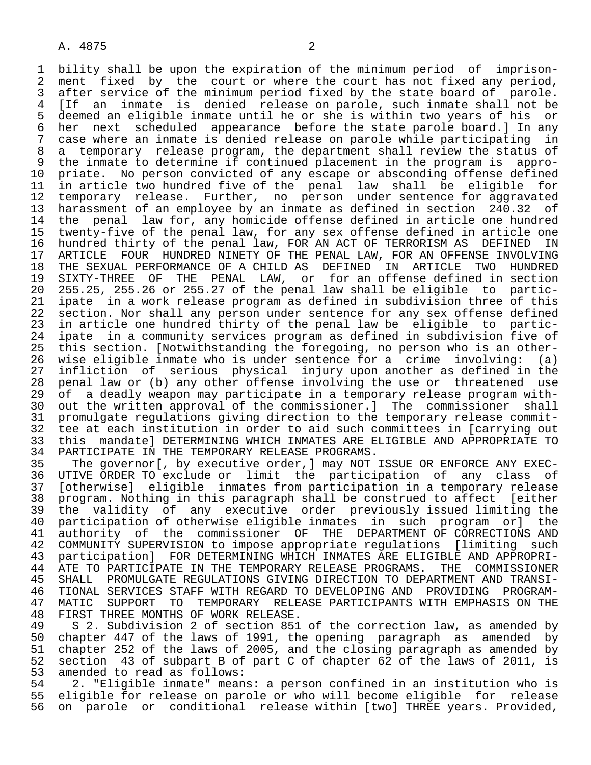1 bility shall be upon the expiration of the minimum period of imprison-<br>2 ment fixed by the court or where the court has not fixed any period. 2 ment fixed by the court or where the court has not fixed any period,<br>3 after service of the minimum period fixed by the state board of parole. 3 after service of the minimum period fixed by the state board of parole.<br>4 IIf an inmate is denied release on parole, such inmate shall not be 4 [If an inmate is denied release on parole, such inmate shall not be 5 deemed an eligible inmate until he or she is within two years of his or<br>6 her next scheduled appearance before the state parole board. I In any 6 her next scheduled appearance before the state parole board.] In any<br>7 case where an inmate is denied release on parole while participating in 7 case where an inmate is denied release on parole while participating in<br>8 a temporary release program, the department shall review the status of 8 a temporary release program, the department shall review the status of<br>9 the inmate to determine if continued placement in the program is appro- 9 the inmate to determine if continued placement in the program is appro- 10 priate. No person convicted of any escape or absconding offense defined<br>11 in article two hundred five of the penal law shall be eligible for 11 in article two hundred five of the penal law shall be eligible for<br>12 temporary release. Further, no person under sentence for aggravated 12 temporary release. Further, no person under sentence for aggravated<br>13 harassment of an emplovee by an inmate as defined in section 240.32 of 13 harassment of an employee by an inmate as defined in section 240.32 of<br>14 the penal law for, any homicide offense defined in article one hundred the penal law for, any homicide offense defined in article one hundred 15 twenty-five of the penal law, for any sex offense defined in article one 16 hundred thirty of the penal law, FOR AN ACT OF TERRORISM AS DEFINED IN<br>17 ARTICLE FOUR HUNDRED NINETY OF THE PENAL LAW, FOR AN OFFENSE INVOLVING 17 ARTICLE FOUR HUNDRED NINETY OF THE PENAL LAW, FOR AN OFFENSE INVOLVING<br>18 THE SEXUAL PERFORMANCE OF A CHILD AS DEFINED IN ARTICLE TWO HUNDRED 18 THE SEXUAL PERFORMANCE OF A CHILD AS DEFINED IN ARTICLE TWO HUNDRED<br>19 SIXTY-THREE OF THE PENAL LAW, or for an offense defined in section 19 SIXTY-THREE OF THE PENAL LAW, or for an offense defined in section<br>20 255.25, 255.26 or 255.27 of the penal law shall be eligible to partic- 20 255.25, 255.26 or 255.27 of the penal law shall be eligible to partic- 21 ipate in a work release program as defined in subdivision three of this<br>22 section. Nor shall any person under sentence for any sex offense defined 22 section. Nor shall any person under sentence for any sex offense defined<br>23 in article one hundred thirty of the penal law be eligible to particin article one hundred thirty of the penal law be eligible to partic- 24 ipate in a community services program as defined in subdivision five of this section. [Notwithstanding the foregoing, no person who is an other- 26 wise eligible inmate who is under sentence for a crime involving: (a) 27 infliction of serious physical injury upon another as defined in the<br>28 penal law or (b) any other offense involving the use or threatened use 28 penal law or (b) any other offense involving the use or threatened use<br>29 of a deadly weapon may participate in a temporary release program with-29 of a deadly weapon may participate in a temporary release program with-<br>20 out the written approval of the commissioner. I The commissioner shall 30 out the written approval of the commissioner.] The commissioner shall<br>31 promulgate regulations giving direction to the temporary release commit-31 promulgate regulations giving direction to the temporary release commit-<br>32 tee at each institution in order to aid such committees in [carrving out 32 tee at each institution in order to aid such committees in [carrying out<br>33 this mandate] DETERMINING WHICH INMATES ARE ELIGIBLE AND APPROPRIATE TO 33 this mandate] DETERMINING WHICH INMATES ARE ELIGIBLE AND APPROPRIATE TO 34 PARTICIPATE IN THE TEMPORARY RELEASE PROGRAMS. 34 PARTICIPATE IN THE TEMPORARY RELEASE PROGRAMS.<br>35 The governor[, by executive order, ] may NOT

35 The governor [, by executive order, ] may NOT ISSUE OR ENFORCE ANY EXEC-<br>36 UTIVE ORDER TO exclude or limit the participation of any class of UTIVE ORDER TO exclude or limit the participation of any class of 37 [otherwise] eligible inmates from participation in a temporary release 38 program. Nothing in this paragraph shall be construed to affect<br>39 the validity of any executive order previously issued limi 39 the validity of any executive order previously issued limiting the<br>40 participation of otherwise eligible inmates in such program or] the 40 participation of otherwise eligible inmates in such program or] the<br>41 authority of the commissioner OF THE DEPARTMENT OF CORRECTIONS AND 41 authority of the commissioner OF THE DEPARTMENT-OF-CORRECTIONS AND<br>42 COMMUNITY-SUPERVISION-to-impose-appropriate-requlations [limiting such 42 COMMUNITY SUPERVISION to impose appropriate regulations [limiting such<br>43 participation] FOR DETERMINING WHICH INMATES ARE ELIGIBLE AND APPROPRI-43 participation] FOR DETERMINING WHICH INMATES ARE ELIGIBLE AND APPROPRI-<br>44 ATE TO PARTICIPATE IN THE TEMPORARY RELEASE PROGRAMS. THE COMMISSIONER 44 ATE TO PARTICIPATE IN THE TEMPORARY RELEASE PROGRAMS. THE COMMISSIONER<br>45 SHALL PROMULGATE REGULATIONS GIVING DIRECTION TO DEPARTMENT AND TRANSI-SHALL PROMULGATE REGULATIONS GIVING DIRECTION TO DEPARTMENT AND TRANSI-46 TIONAL SERVICES STAFF WITH REGARD TO DEVELOPING AND PROVIDING PROGRAM-<br>47 MATIC SUPPORT TO TEMPORARY RELEASE PARTICIPANTS WITH EMPHASIS ON THE 47 MATIC SUPPORT TO TEMPORARY RELEASE PARTICIPANTS WITH EMPHASIS ON THE 48 FIRST THREE MONTHS OF WORK RELEASE.

48 FIRST THREE MONTHS OF WORK RELEASE.<br>49 S 2. Subdivision 2 of section 851 49 S 2. Subdivision 2 of section 851 of the correction law, as amended by<br>50 chapter 447 of the laws of 1991, the opening paragraph as amended by 50 chapter 447 of the laws of 1991, the opening paragraph as amended by<br>51 chapter 252 of the laws of 2005, and the closing paragraph as amended by 51 chapter 252 of the laws of 2005, and the closing paragraph as amended by<br>52 section 43 of subpart B of part C of chapter 62 of the laws of 2011, is 52 section 43 of subpart B of part C of chapter 62 of the laws of 2011, is<br>53 amended to read as follows: 53 amended to read as follows:<br>54 2. "Eligible inmate" mean

 54 2. "Eligible inmate" means: a person confined in an institution who is 55 eligible for release on parole or who will become eligible for release<br>56 on parole or conditional release within [two] THREE years. Provided, on parole or conditional release within [two] THREE years. Provided,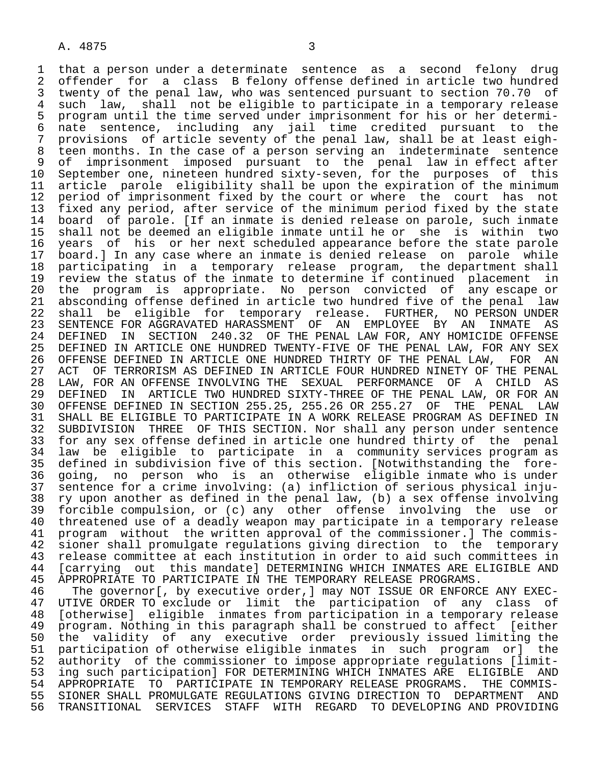1 that a person under a determinate sentence as a second felony drug<br>2 offender for a class B felony offense defined in article two hundred 2 offender for a class B felony offense defined in article two hundred<br>3 twenty of the penal law, who was sentenced pursuant to section 70.70 of 3 twenty of the penal law, who was sentenced pursuant to section 70.70 of<br>4 such law, shall not be eligible to participate in a temporary release 4 such law, shall not be eligible to participate in a temporary release<br>5 program until the time served under imprisonment for his or her determi-5 program until the time served under imprisonment for his or her determi-<br>6 nate sentence, including any jail time credited pursuant to the 6 nate sentence, including any jail time credited pursuant to the<br>7 provisions of article-seventy-of the-penal-law, shall-be-at-least-eigh-7 provisions of article seventy of the penal law, shall be at least eigh-<br>8 teen months. In the case of a person serving an indeterminate sentence 8 teen months. In the case of a person serving an indeterminate sentence<br>8 of imprisonment imposed pursuant to the penal law in effect after 9 of imprisonment imposed pursuant to the penal law in effect after<br>10 September one, nineteen hundred sixty-seven, for the purposes of this 10 September one, nineteen hundred sixty-seven, for the purposes of this<br>11 article parole eligibility shall be upon the expiration of the minimum 11 article parole eligibility shall be upon the expiration of the minimum<br>12 period of imprisonment fixed by the court or where the court has not 12 period of imprisonment fixed by the court or where the court has not<br>13 fixed any period, after service of the minimum period fixed by the state 13 fixed any period, after service of the minimum period fixed by the state<br>14 board of parole. [If an inmate is denied release on parole, such inmate board of parole. [If an inmate is denied release on parole, such inmate 15 shall not be deemed an eligible inmate until he or she is within two 16 years of his or her next scheduled appearance before the state parole<br>17 board. I In any case where an inmate is denied release on parole while 17 board.] In any case where an inmate is denied release on parole while<br>18 participating in a temporary release program, the department shall 18 participating in a temporary release program, the-department-shall<br>19 review the status of the inmate to-determine if continued placement in 19 review the status of the inmate to determine if continued placement in<br>20 the program is appropriate. No person convicted of any escape or 20 the program is appropriate. No person convicted of any escape or<br>21 absconding offense defined in article two hundred five of the penal law 21 absconding offense defined in article two hundred five of the penal law<br>22 shall be eligible for temporary release. FURTHER, NO PERSON UNDER 22 shall be eligible for temporary release. FURTHER, NO PERSON UNDER<br>23 SENTENCE FOR AGGRAVATED HARASSMENT OF AN EMPLOYEE BY AN INMATE AS 23 SENTENCE FOR AGGRAVATED HARASSMENT OF AN EMPLOYEE BY AN INMATE AS<br>24 DEFINED IN SECTION 240.32 OF THE PENAL LAW FOR, ANY HOMICIDE OFFENSE 24 DEFINED IN SECTION 240.32 OF THE PENAL LAW FOR, ANY HOMICIDE OFFENSE<br>25 DEFINED IN ARTICLE ONE HUNDRED TWENTY-FIVE OF THE PENAL LAW, FOR ANY SEX DEFINED IN ARTICLE ONE HUNDRED TWENTY-FIVE OF THE PENAL LAW, FOR ANY SEX 26 OFFENSE DEFINED IN ARTICLE ONE HUNDRED THIRTY OF THE PENAL LAW, FOR AN<br>27 ACT OF TERRORISM AS DEFINED IN ARTICLE FOUR HUNDRED NINETY OF THE PENAL 27 ACT OF TERRORISM AS DEFINED IN ARTICLE FOUR HUNDRED NINETY OF THE PENAL<br>28 LAW, FOR AN OFFENSE INVOLVING THE SEXUAL PERFORMANCE OF A CHILD AS 28 LAW, FOR AN OFFENSE INVOLVING THE SEXUAL PERFORMANCE OF A CHILD AS 29 DEFINED IN ARTICLE TWO HUNDRED SIXTY-THREE OF THE PENAL LAW, OR FOR AN<br>30 OFFENSE DEFINED IN SECTION 255.25, 255.26 OR 255.27 OF THE PENAL LAW 30 OFFENSE DEFINED IN SECTION 255.25, 255.26 OR 255.27 OF THE PENAL LAW 31 SHALL BE ELIGIBLE TO PARTICIPATE IN A WORK RELEASE PROGRAM AS DEFINED IN<br>32 SUBDIVISION THREE OF THIS SECTION. Nor shall any person under sentence 32 SUBDIVISION THREE OF THIS SECTION. Nor shall any person under sentence<br>33 for any sex offense defined in article one hundred thirty of the penal 33 for any sex offense defined in article one hundred thirty of the penal<br>34 law be eligible to participate in a community services program as 34 law be eligible to participate in a community services program as 35 defined in subdivision five of this section. [Notwithstanding the fore- 36 going, no person who is an otherwise eligible inmate who is under 37 sentence for a crime involving: (a) infliction of serious physical inju- 38 ry upon another as defined in the penal law, (b) a sex offense involving 39 forcible compulsion, or (c) any other offense involving the use or<br>40 threatened use of a deadly weapon may participate in a temporary release 40 threatened use of a deadly weapon may participate in a temporary release<br>41 program without the written approval of the commissioner. The commis-41 program without the written approval of the commissioner.] The commis-<br>42 sioner shall promulgate regulations giving direction to the temporary 42 sioner shall promulgate regulations giving direction to the temporary<br>43 release committee at each institution in order to aid such committees in 43 release committee at each institution in order to aid such committees in<br>44 [carrving out this mandate] DETERMINING WHICH INMATES ARE ELIGIBLE AND 44 [carrying out this mandate] DETERMINING WHICH INMATES ARE ELIGIBLE AND<br>45 APPROPRIATE TO PARTICIPATE IN THE TEMPORARY RELEASE PROGRAMS. 45 APPROPRIATE TO PARTICIPATE IN THE TEMPORARY RELEASE PROGRAMS.

46 The governor [, by executive order, ] may NOT ISSUE OR ENFORCE ANY EXEC-<br>47 UTIVE ORDER TO exclude or limit the participation of any class of 47 UTIVE ORDER TO exclude or limit the participation of any class of<br>48 [otherwise] eligible inmates from participation in a temporary release 48 [otherwise] eligible inmates from participation in a temporary release 49 program. Nothing in this paragraph shall be construed to affect [either<br>50 the validity of any executive order previously issued limiting the 50 the validity of any executive order previously issued limiting the<br>51 participation of otherwise eligible inmates in such program or] the participation of otherwise eligible inmates in such program or] the 52 authority of the commissioner to impose appropriate regulations [limit- 53 ing such participation] FOR DETERMINING WHICH INMATES ARE ELIGIBLE AND<br>54 APPROPRIATE TO PARTICIPATE IN TEMPORARY RELEASE PROGRAMS. THE COMMIS-54 APPROPRIATE TO PARTICIPATE IN TEMPORARY RELEASE PROGRAMS.<br>55 SIONER SHALL PROMULGATE REGULATIONS GIVING DIRECTION TO DEE 55 SIONER SHALL PROMULGATE REGULATIONS GIVING DIRECTION TO DEPARTMENT AND<br>56 TRANSITIONAL SERVICES STAFF WITH REGARD TO DEVELOPING AND PROVIDING 56 TRANSITIONAL SERVICES STAFF WITH REGARD TO DEVELOPING AND PROVIDING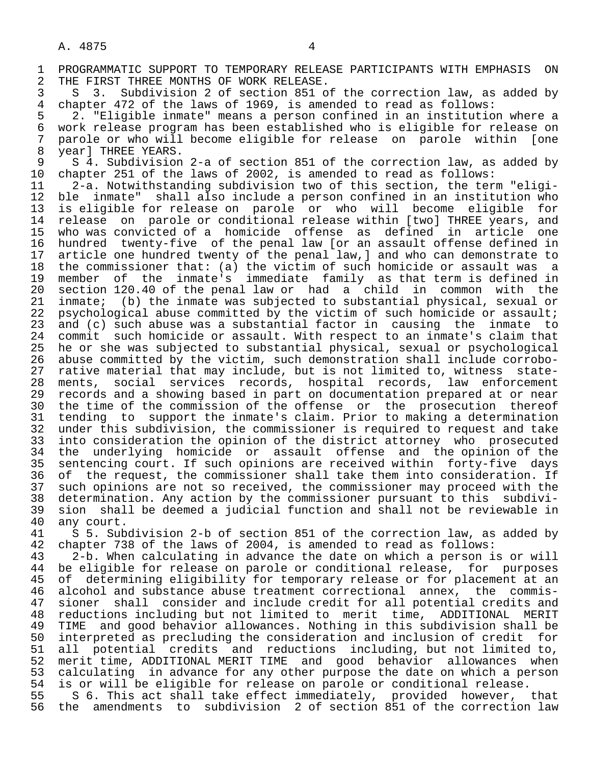1 PROGRAMMATIC SUPPORT TO TEMPORARY RELEASE PARTICIPANTS WITH EMPHASIS ON<br>2 THE FIRST THREE MONTHS OF WORK RELEASE. 2 THE FIRST THREE MONTHS OF WORK RELEASE.<br>3 S 3. Subdivision 2 of section 851 o

3 S 3. Subdivision 2 of section 851 of the correction law, as added by<br>4 chapter 472 of the laws of 1969, is amended to read as follows: 4 chapter 472 of the laws of 1969, is amended to read as follows:<br>5 2. "Eligible inmate" means a person confined in an institutio

5 2. "Eligible inmate" means a person confined in an institution where a<br>6 work release program has been established who is eligible for release on 6 work release program has been established who is eligible for release on<br>7 parole or who will become eligible for release on parole within [one 7 parole or who will become eligible for release on parole within [one

8 year] THREE YEARS.<br>9 S 4. Subdivision 9 S 4. Subdivision 2-a of section 851 of the correction law, as added by<br>10 chapter 251 of the laws of 2002, is amended to read as follows: 10 chapter 251 of the laws of 2002, is amended to read as follows:<br>11 12-a. Notwithstanding subdivision two of this section, the ter

 11 2-a. Notwithstanding subdivision two of this section, the term "eligi- 12 ble inmate" shall also include a person confined in an institution who<br>13 is eligible for release on parole or who will become eligible for 13 is eligible for release on parole or who will become eligible for<br>14 release on parole or conditional release within [two] THREE vears, and 14 release on parole or conditional release within [two] THREE years, and 15 who was convicted of a homicide offense as defined in article one 16 hundred twenty-five of the penal law [or an assault offense defined in<br>17 article one hundred twenty of the penal law, and who can demonstrate to 17 article one hundred twenty of the penal law, and who can demonstrate to<br>18 the commissioner that: (a) the victim of such homicide or assault was a 18 the commissioner that: (a) the victim of such homicide or assault was a<br>19 member of the inmate's immediate family as that term is defined in 19 member of the inmate's immediate family as that term is defined in<br>20 section 120.40 of the penal law or had a child in common with the 20 section 120.40 of the penal law or had a child in common with the<br>21 inmate; (b) the inmate was subjected to substantial physical, sexual or 21 inmate; (b) the inmate was subjected to substantial physical, sexual or<br>22 psychological abuse committed by the victim of such homicide or assault; 22 psychological abuse committed by the victim of such homicide or assault;<br>23 and (c) such abuse was a substantial factor in causing the inmate to 23 and (c) such abuse was a substantial factor in causing the inmate to<br>24 commit such homicide or assault. With respect to an inmate's claim that 24 commit such homicide or assault. With respect to an inmate's claim that<br>25 he or she was subjected to substantial physical, sexual or psychological 25 he or she was subjected to substantial physical, sexual or psychological 26 abuse committed by the victim, such demonstration shall include corrobo- 27 rative material that may include, but is not limited to, witness state-<br>28 ments, social services records, hospital records, law enforcement 28 ments, social services records, hospital records, law enforcement<br>29 records and a showing based in part on documentation prepared at or near 29 records and a showing based in part on documentation prepared at or near<br>20 the time of the commission of the offense or the prosecution thereof 30 the time of the commission of the offense or the prosecution thereof<br>31 tending to support the inmate's claim. Prior to making a determination 31 tending to support the inmate's claim. Prior to making a determination<br>32 under this subdivision, the commissioner is required to request and take 32 under this subdivision, the commissioner is required to request and take<br>33 into consideration the opinion of the district attorney who prosecuted 33 into consideration the opinion of the district attorney who prosecuted<br>34 the underlying homicide or assault offense and the opinion of the 34 the underlying homicide or assault offense and the opinion of the<br>35 sentencing court. If such opinions are received within forty-five days 35 sentencing court. If such opinions are received within forty-five days<br>36 of the request, the commissioner shall take them into consideration. If of the request, the commissioner shall take them into consideration. If 37 such opinions are not so received, the commissioner may proceed with the<br>38 determination. Any action by the commissioner pursuant to this subdivi- 38 determination. Any action by the commissioner pursuant to this subdivi- 39 sion shall be deemed a judicial function and shall not be reviewable in

40 any court.<br>41 S 5. Sub 41 S 5. Subdivision 2-b of section 851 of the correction law, as added by 42 chapter 738 of the laws of 2004, is amended to read as follows:<br>43 2-b. When calculating in advance the date on which a person i

 43 2-b. When calculating in advance the date on which a person is or will 44 be eligible for release on parole or conditional release, for purposes<br>45 of determining eligibility for temporary release or for placement at an of determining eligibility for temporary release or for placement at an 46 alcohol and substance abuse treatment correctional annex, the commis-<br>47 sioner shall consider and include credit for all potential credits and 47 sioner shall consider and include credit for all potential credits and<br>48 reductions including but not limited to merit time. ADDITIONAL MERIT 48 reductions including but not limited to merit time, ADDITIONAL MERIT<br>49 TIME and good behavior allowances. Nothing in this subdivision shall be 49 TIME and good behavior allowances. Nothing in this subdivision shall be<br>50 interpreted as precluding the consideration and inclusion of credit for 50 interpreted as precluding the consideration and inclusion of credit for<br>51 all potential credits and reductions including, but not limited to, 51 all potential credits and reductions including, but not limited to,<br>52 merit time, ADDITIONAL MERIT TIME and good behavior allowances when 52 merit time, ADDITIONAL MERIT TIME and good behavior allowances when<br>53 calculating in advance for any other purpose the date on which a person 53 calculating in advance for any other purpose the date on which a person<br>54 is or will be eligible for release on parole or conditional release. 54 is or will be eligible for release on parole or conditional release.<br>55 5 S 6. This act shall take effect immediately, provided however,

55 S 6. This act shall take effect immediately, provided however, that<br>56 the amendments to subdivision 2 of section 851 of the correction law the amendments to subdivision 2 of section 851 of the correction law